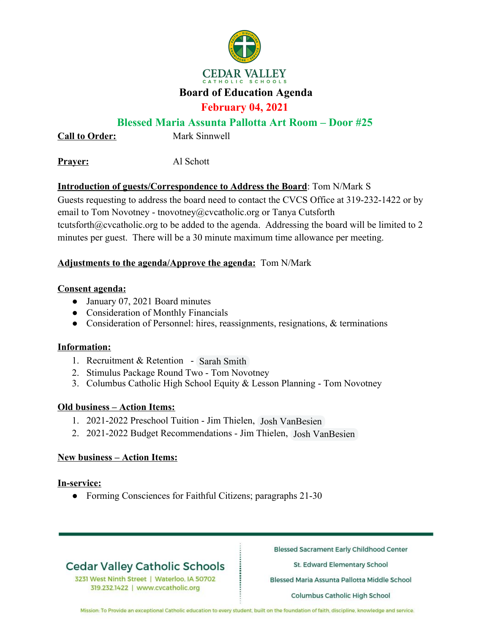

### **Board of Education Agenda**

## **February 04, 2021**

## **Blessed Maria Assunta Pallotta Art Room – Door #25**

**Call to Order:** Mark Sinnwell

**Prayer:** Al Schott

## **Introduction of guests/Correspondence to Address the Board**: Tom N/Mark S

Guests requesting to address the board need to contact the CVCS Office at 319-232-1422 or by email to Tom Novotney - tnovotney@cvcatholic.org or Tanya Cutsforth tcutsforth@cvcatholic.org to be added to the agenda. Addressing the board will be limited to 2 minutes per guest. There will be a 30 minute maximum time allowance per meeting.

### **Adjustments to the agenda/Approve the agenda:** Tom N/Mark

#### **Consent agenda:**

- January 07, 2021 Board minutes
- Consideration of Monthly Financials
- Consideration of Personnel: hires, reassignments, resignations, & terminations

### **Information:**

- 1. Recruitment & Retention Sarah Smith
- 2. Stimulus Package Round Two Tom Novotney
- 3. Columbus Catholic High School Equity & Lesson Planning Tom Novotney

### **Old business – Action Items:**

- 1. 2021-2022 Preschool Tuition Jim Thielen, Josh VanBesien
- 2. 2021-2022 Budget Recommendations Jim Thielen, Josh VanBesien

### **New business – Action Items:**

### **In-service:**

● Forming Consciences for Faithful Citizens; paragraphs 21-30

# **Cedar Valley Catholic Schools**

3231 West Ninth Street | Waterloo, IA 50702 319.232.1422 | www.cvcatholic.org

**Blessed Sacrament Early Childhood Center** 

St. Edward Elementary School

Blessed Maria Assunta Pallotta Middle School

Columbus Catholic High School

Mission: To Provide an exceptional Catholic education to every student, built on the foundation of faith, discipline, knowledge and service.